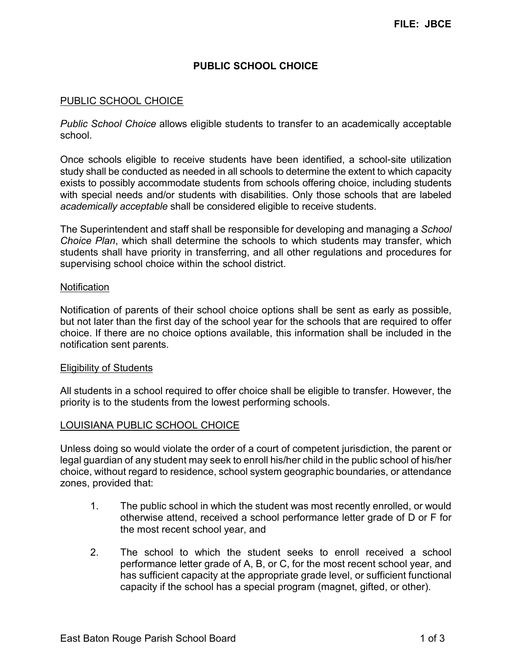## **PUBLIC SCHOOL CHOICE**

### PUBLIC SCHOOL CHOICE

*Public School Choice* allows eligible students to transfer to an academically acceptable school.

Once schools eligible to receive students have been identified, a school-site utilization study shall be conducted as needed in all schools to determine the extent to which capacity exists to possibly accommodate students from schools offering choice, including students with special needs and/or students with disabilities. Only those schools that are labeled *academically acceptable* shall be considered eligible to receive students.

The Superintendent and staff shall be responsible for developing and managing a *School Choice Plan*, which shall determine the schools to which students may transfer, which students shall have priority in transferring, and all other regulations and procedures for supervising school choice within the school district.

#### **Notification**

Notification of parents of their school choice options shall be sent as early as possible, but not later than the first day of the school year for the schools that are required to offer choice. If there are no choice options available, this information shall be included in the notification sent parents.

### Eligibility of Students

All students in a school required to offer choice shall be eligible to transfer. However, the priority is to the students from the lowest performing schools.

### LOUISIANA PUBLIC SCHOOL CHOICE

Unless doing so would violate the order of a court of competent jurisdiction, the parent or legal guardian of any student may seek to enroll his/her child in the public school of his/her choice, without regard to residence, school system geographic boundaries, or attendance zones, provided that:

- 1. The public school in which the student was most recently enrolled, or would otherwise attend, received a school performance letter grade of D or F for the most recent school year, and
- 2. The school to which the student seeks to enroll received a school performance letter grade of A, B, or C, for the most recent school year, and has sufficient capacity at the appropriate grade level, or sufficient functional capacity if the school has a special program (magnet, gifted, or other).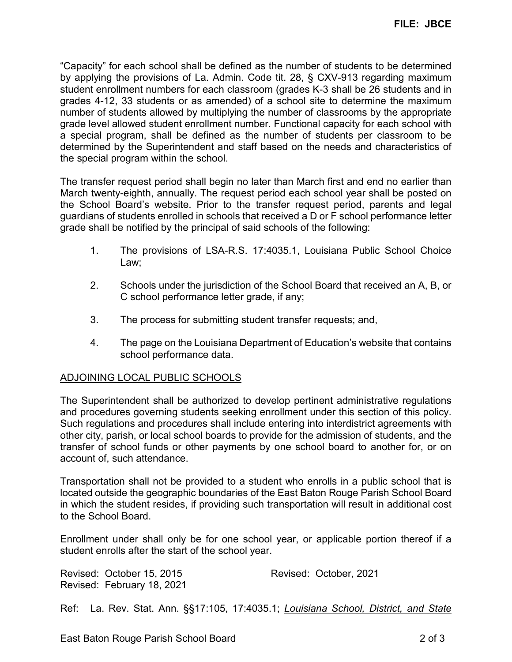"Capacity" for each school shall be defined as the number of students to be determined by applying the provisions of La. Admin. Code tit. 28, § CXV-913 regarding maximum student enrollment numbers for each classroom (grades K-3 shall be 26 students and in grades 4-12, 33 students or as amended) of a school site to determine the maximum number of students allowed by multiplying the number of classrooms by the appropriate grade level allowed student enrollment number. Functional capacity for each school with a special program, shall be defined as the number of students per classroom to be determined by the Superintendent and staff based on the needs and characteristics of the special program within the school.

The transfer request period shall begin no later than March first and end no earlier than March twenty-eighth, annually. The request period each school year shall be posted on the School Board's website. Prior to the transfer request period, parents and legal guardians of students enrolled in schools that received a D or F school performance letter grade shall be notified by the principal of said schools of the following:

- 1. The provisions of LSA-R.S. 17:4035.1, Louisiana Public School Choice Law;
- 2. Schools under the jurisdiction of the School Board that received an A, B, or C school performance letter grade, if any;
- 3. The process for submitting student transfer requests; and,
- 4. The page on the Louisiana Department of Education's website that contains school performance data.

# ADJOINING LOCAL PUBLIC SCHOOLS

The Superintendent shall be authorized to develop pertinent administrative regulations and procedures governing students seeking enrollment under this section of this policy. Such regulations and procedures shall include entering into interdistrict agreements with other city, parish, or local school boards to provide for the admission of students, and the transfer of school funds or other payments by one school board to another for, or on account of, such attendance.

Transportation shall not be provided to a student who enrolls in a public school that is located outside the geographic boundaries of the East Baton Rouge Parish School Board in which the student resides, if providing such transportation will result in additional cost to the School Board.

Enrollment under shall only be for one school year, or applicable portion thereof if a student enrolls after the start of the school year.

Revised: October 15, 2015 Revised: October, 2021 Revised: February 18, 2021

Ref: La. Rev. Stat. Ann. §§17:105, 17:4035.1; *Louisiana School, District, and State*